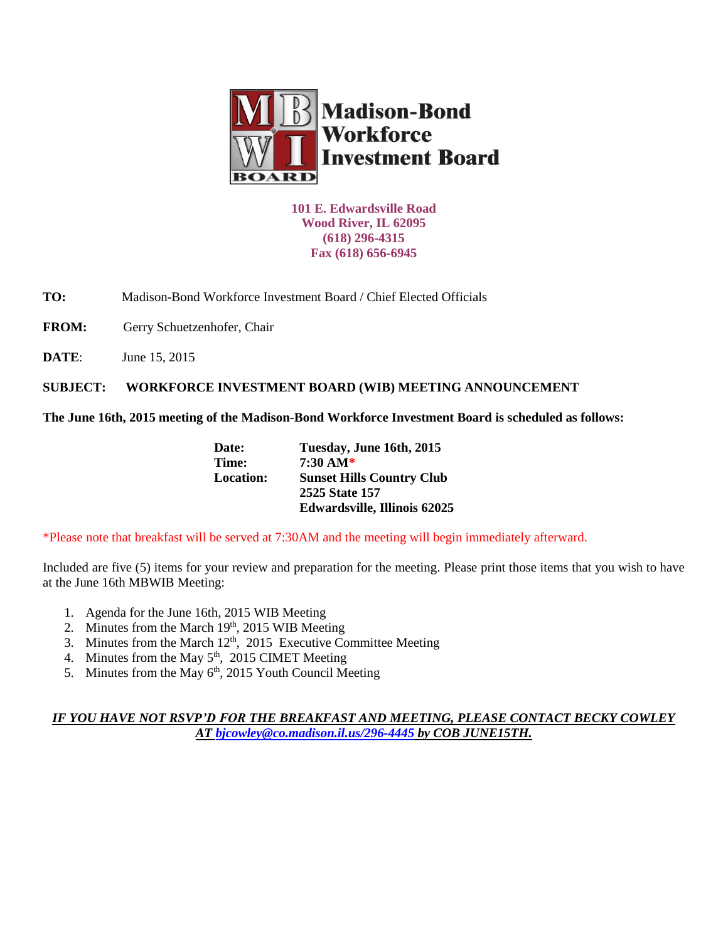

**101 E. Edwardsville Road Wood River, IL 62095 (618) 296-4315 Fax (618) 656-6945**

**TO:** Madison-Bond Workforce Investment Board / Chief Elected Officials

FROM: Gerry Schuetzenhofer, Chair

**DATE**: June 15, 2015

**SUBJECT: WORKFORCE INVESTMENT BOARD (WIB) MEETING ANNOUNCEMENT** 

**The June 16th, 2015 meeting of the Madison-Bond Workforce Investment Board is scheduled as follows:**

| Date:            | Tuesday, June 16th, 2015            |
|------------------|-------------------------------------|
| Time:            | $7:30 \text{ AM*}$                  |
| <b>Location:</b> | <b>Sunset Hills Country Club</b>    |
|                  | 2525 State 157                      |
|                  | <b>Edwardsville, Illinois 62025</b> |
|                  |                                     |

\*Please note that breakfast will be served at 7:30AM and the meeting will begin immediately afterward.

Included are five (5) items for your review and preparation for the meeting. Please print those items that you wish to have at the June 16th MBWIB Meeting:

- 1. Agenda for the June 16th, 2015 WIB Meeting
- 2. Minutes from the March 19th, 2015 WIB Meeting
- 3. Minutes from the March 12<sup>th</sup>, 2015 Executive Committee Meeting
- 4. Minutes from the May  $5<sup>th</sup>$ , 2015 CIMET Meeting
- 5. Minutes from the May  $6<sup>th</sup>$ , 2015 Youth Council Meeting

## *IF YOU HAVE NOT RSVP'D FOR THE BREAKFAST AND MEETING, PLEASE CONTACT BECKY COWLEY AT [bjcowley@co.madison.il.us/](mailto:bjcowley@co.madison.il.us)296-4445 by COB JUNE15TH.*